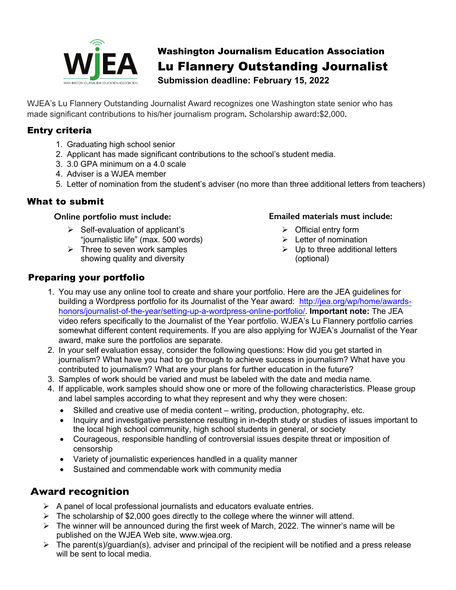

# Washington Journalism Education Association Lu Flannery Outstanding Journalist

**Submission deadline: February 15, 2022**

WJEA's Lu Flannery Outstanding Journalist Award recognizes one Washington state senior who has made significant contributions to his/her journalism program**.** Scholarship award**:**\$2,000**.** 

# Entry criteria

- 1. Graduating high school senior
- 2. Applicant has made significant contributions to the school's student media.
- 3. 3.0 GPA minimum on a 4.0 scale
- 4. Adviser is a WJEA member
- 5. Letter of nomination from the student's adviser (no more than three additional letters from teachers)

## What to submit

#### **Online portfolio must include:**

- $\triangleright$  Self-evaluation of applicant's "journalistic life" (max. 500 words)
- $\triangleright$  Three to seven work samples showing quality and diversity

#### **Emailed materials must include:**

- $\triangleright$  Official entry form
- $\blacktriangleright$  Letter of nomination
- $\triangleright$  Up to three additional letters (optional)

## Preparing your portfolio

- 1. You may use any online tool to create and share your portfolio. Here are the JEA guidelines for building a Wordpress portfolio for its Journalist of the Year award: http://jea.org/wp/home/awardshonors/journalist-of-the-year/setting-up-a-wordpress-online-portfolio/. **Important note:** The JEA video refers specifically to the Journalist of the Year portfolio. WJEA's Lu Flannery portfolio carries somewhat different content requirements. If you are also applying for WJEA's Journalist of the Year award, make sure the portfolios are separate.
- 2. In your self evaluation essay, consider the following questions: How did you get started in journalism? What have you had to go through to achieve success in journalism? What have you contributed to journalism? What are your plans for further education in the future?
- 3. Samples of work should be varied and must be labeled with the date and media name.
- 4. If applicable, work samples should show one or more of the following characteristics. Please group and label samples according to what they represent and why they were chosen:
	- Skilled and creative use of media content writing, production, photography, etc.
	- Inquiry and investigative persistence resulting in in-depth study or studies of issues important to the local high school community, high school students in general, or society
	- Courageous, responsible handling of controversial issues despite threat or imposition of censorship
	- Variety of journalistic experiences handled in a quality manner
	- Sustained and commendable work with community media

# **Award recognition**

- $\triangleright$  A panel of local professional journalists and educators evaluate entries.
- $\triangleright$  The scholarship of \$2,000 goes directly to the college where the winner will attend.
- $\triangleright$  The winner will be announced during the first week of March, 2022. The winner's name will be published on the WJEA Web site, www.wjea.org.
- $\triangleright$  The parent(s)/guardian(s), adviser and principal of the recipient will be notified and a press release will be sent to local media.